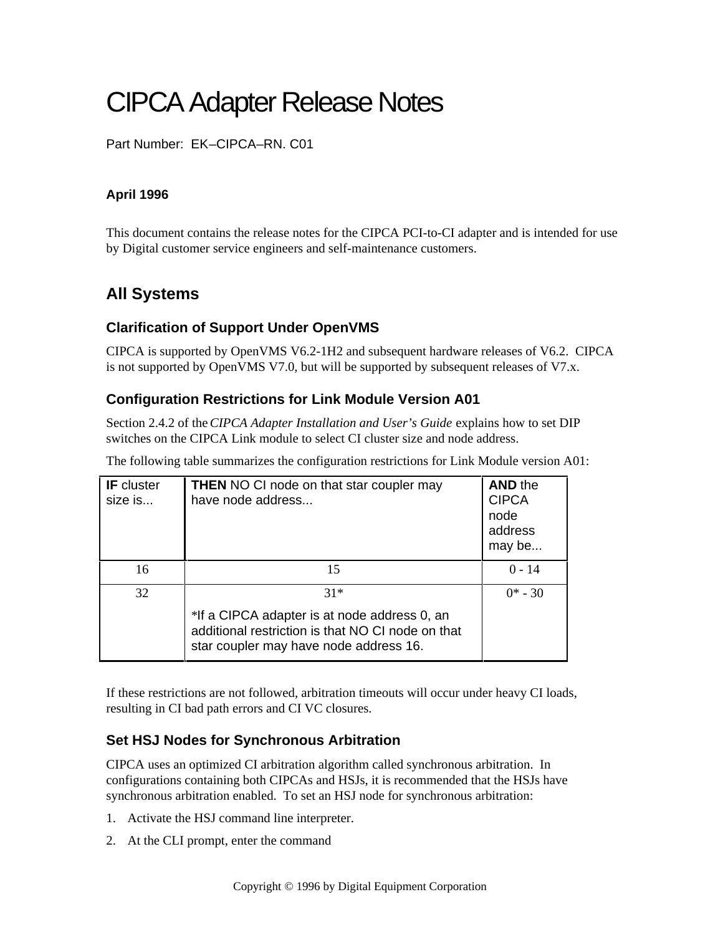# CIPCA Adapter Release Notes

Part Number: EK–CIPCA–RN. C01

#### **April 1996**

This document contains the release notes for the CIPCA PCI-to-CI adapter and is intended for use by Digital customer service engineers and self-maintenance customers.

# **All Systems**

## **Clarification of Support Under OpenVMS**

CIPCA is supported by OpenVMS V6.2-1H2 and subsequent hardware releases of V6.2. CIPCA is not supported by OpenVMS V7.0, but will be supported by subsequent releases of V7.x.

## **Configuration Restrictions for Link Module Version A01**

Section 2.4.2 of the *CIPCA Adapter Installation and User's Guide* explains how to set DIP switches on the CIPCA Link module to select CI cluster size and node address.

The following table summarizes the configuration restrictions for Link Module version A01:

| <b>IF</b> cluster<br>size is | <b>THEN</b> NO CI node on that star coupler may<br>have node address                                                                        | <b>AND the</b><br><b>CIPCA</b><br>node<br>address<br>may be |
|------------------------------|---------------------------------------------------------------------------------------------------------------------------------------------|-------------------------------------------------------------|
| 16                           | 15                                                                                                                                          | $0 - 14$                                                    |
| 32                           | $31*$                                                                                                                                       | $0^* - 30$                                                  |
|                              | *If a CIPCA adapter is at node address 0, an<br>additional restriction is that NO CI node on that<br>star coupler may have node address 16. |                                                             |

If these restrictions are not followed, arbitration timeouts will occur under heavy CI loads, resulting in CI bad path errors and CI VC closures.

## **Set HSJ Nodes for Synchronous Arbitration**

CIPCA uses an optimized CI arbitration algorithm called synchronous arbitration. In configurations containing both CIPCAs and HSJs, it is recommended that the HSJs have synchronous arbitration enabled. To set an HSJ node for synchronous arbitration:

- 1. Activate the HSJ command line interpreter.
- 2. At the CLI prompt, enter the command